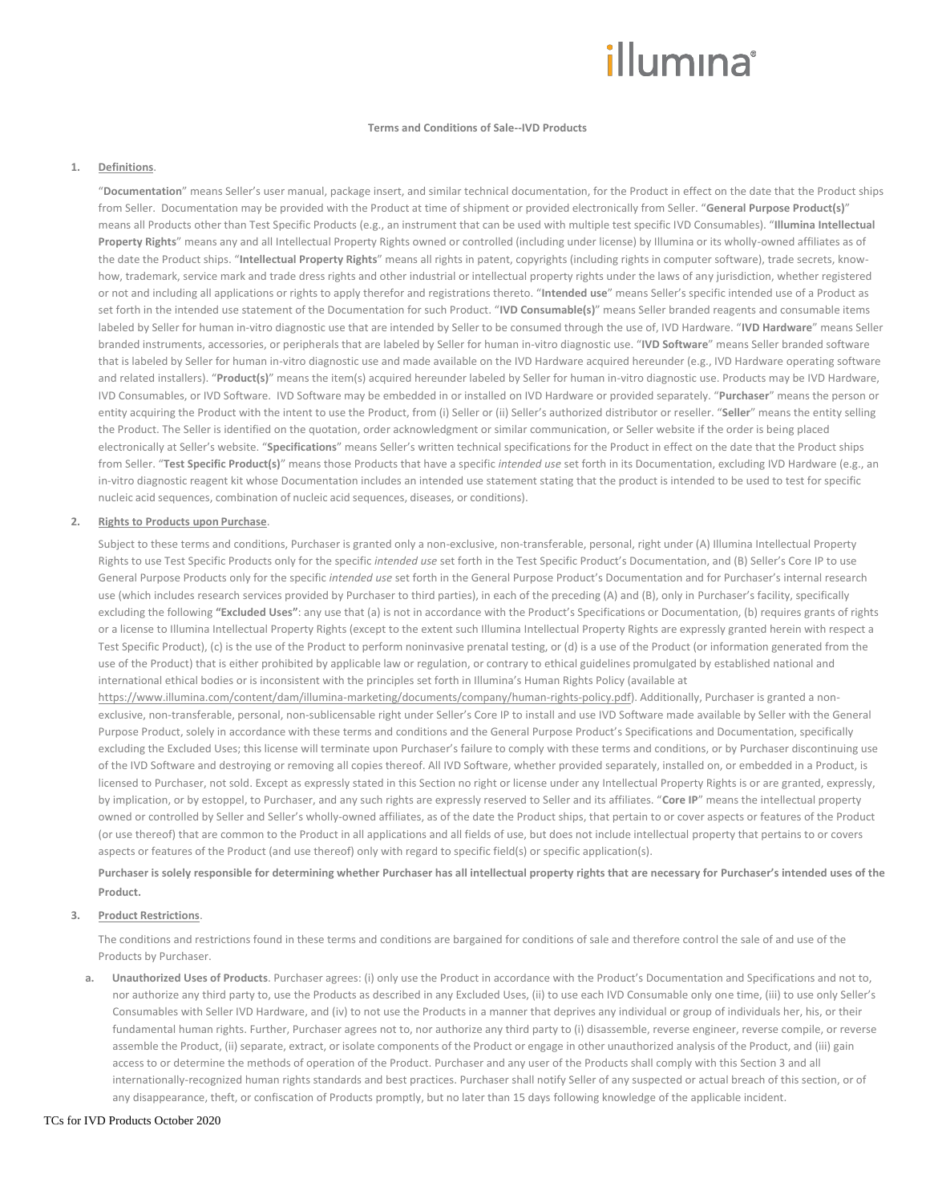# illumına

## **Terms and Conditions of Sale--IVD Products**

## **1. Definitions**.

"**Documentation**" means Seller's user manual, package insert, and similar technical documentation, for the Product in effect on the date that the Product ships from Seller. Documentation may be provided with the Product at time of shipment or provided electronically from Seller. "**General Purpose Product(s)**" means all Products other than Test Specific Products (e.g., an instrument that can be used with multiple test specific IVD Consumables). "**Illumina Intellectual Property Rights**" means any and all Intellectual Property Rights owned or controlled (including under license) by Illumina or its wholly-owned affiliates as of the date the Product ships. "**Intellectual Property Rights**" means all rights in patent, copyrights (including rights in computer software), trade secrets, knowhow, trademark, service mark and trade dress rights and other industrial or intellectual property rights under the laws of any jurisdiction, whether registered or not and including all applications or rights to apply therefor and registrations thereto. "**Intended use**" means Seller's specific intended use of a Product as set forth in the intended use statement of the Documentation for such Product. "**IVD Consumable(s)**" means Seller branded reagents and consumable items labeled by Seller for human in-vitro diagnostic use that are intended by Seller to be consumed through the use of, IVD Hardware. "**IVD Hardware**" means Seller branded instruments, accessories, or peripherals that are labeled by Seller for human in-vitro diagnostic use. "**IVD Software**" means Seller branded software that is labeled by Seller for human in-vitro diagnostic use and made available on the IVD Hardware acquired hereunder (e.g., IVD Hardware operating software and related installers). "**Product(s)**" means the item(s) acquired hereunder labeled by Seller for human in-vitro diagnostic use. Products may be IVD Hardware, IVD Consumables, or IVD Software. IVD Software may be embedded in or installed on IVD Hardware or provided separately. "**Purchaser**" means the person or entity acquiring the Product with the intent to use the Product, from (i) Seller or (ii) Seller's authorized distributor or reseller. "Seller" means the entity selling the Product. The Seller is identified on the quotation, order acknowledgment or similar communication, or Seller website if the order is being placed electronically at Seller's website. "**Specifications**" means Seller's written technical specifications for the Product in effect on the date that the Product ships from Seller. "**Test Specific Product(s)**" means those Products that have a specific *intended use* set forth in its Documentation, excluding IVD Hardware (e.g., an in-vitro diagnostic reagent kit whose Documentation includes an intended use statement stating that the product is intended to be used to test for specific nucleic acid sequences, combination of nucleic acid sequences, diseases, or conditions).

#### **2. Rights to Products upon Purchase**.

Subject to these terms and conditions, Purchaser is granted only a non-exclusive, non-transferable, personal, right under (A) Illumina Intellectual Property Rights to use Test Specific Products only for the specific *intended use* set forth in the Test Specific Product's Documentation, and (B) Seller's Core IP to use General Purpose Products only for the specific *intended use* set forth in the General Purpose Product's Documentation and for Purchaser's internal research use (which includes research services provided by Purchaser to third parties), in each of the preceding (A) and (B), only in Purchaser's facility, specifically excluding the following **"Excluded Uses"**: any use that (a) is not in accordance with the Product's Specifications or Documentation, (b) requires grants of rights or a license to Illumina Intellectual Property Rights (except to the extent such Illumina Intellectual Property Rights are expressly granted herein with respect a Test Specific Product), (c) is the use of the Product to perform noninvasive prenatal testing, or (d) is a use of the Product (or information generated from the use of the Product) that is either prohibited by applicable law or regulation, or contrary to ethical guidelines promulgated by established national and international ethical bodies or is inconsistent with the principles set forth in Illumina's Human Rights Policy (available at

[https://www.illumina.com/content/dam/illumina-marketing/documents/company/human-rights-policy.pdf\).](https://www.illumina.com/content/dam/illumina-marketing/documents/company/human-rights-policy.pdf) Additionally, Purchaser is granted a nonexclusive, non-transferable, personal, non-sublicensable right under Seller's Core IP to install and use IVD Software made available by Seller with the General Purpose Product, solely in accordance with these terms and conditions and the General Purpose Product's Specifications and Documentation, specifically excluding the Excluded Uses; this license will terminate upon Purchaser's failure to comply with these terms and conditions, or by Purchaser discontinuing use of the IVD Software and destroying or removing all copies thereof. All IVD Software, whether provided separately, installed on, or embedded in a Product, is licensed to Purchaser, not sold. Except as expressly stated in this Section no right or license under any Intellectual Property Rights is or are granted, expressly, by implication, or by estoppel, to Purchaser, and any such rights are expressly reserved to Seller and its affiliates. "**Core IP**" means the intellectual property owned or controlled by Seller and Seller's wholly-owned affiliates, as of the date the Product ships, that pertain to or cover aspects or features of the Product (or use thereof) that are common to the Product in all applications and all fields of use, but does not include intellectual property that pertains to or covers aspects or features of the Product (and use thereof) only with regard to specific field(s) or specific application(s).

**Purchaser is solely responsible for determining whether Purchaser has all intellectual property rights that are necessary for Purchaser's intended uses of the Product.**

## **3. Product Restrictions**.

The conditions and restrictions found in these terms and conditions are bargained for conditions of sale and therefore control the sale of and use of the Products by Purchaser.

**a. Unauthorized Uses of Products**. Purchaser agrees: (i) only use the Product in accordance with the Product's Documentation and Specifications and not to, nor authorize any third party to, use the Products as described in any Excluded Uses, (ii) to use each IVD Consumable only one time, (iii) to use only Seller's Consumables with Seller IVD Hardware, and (iv) to not use the Products in a manner that deprives any individual or group of individuals her, his, or their fundamental human rights. Further, Purchaser agrees not to, nor authorize any third party to (i) disassemble, reverse engineer, reverse compile, or reverse assemble the Product, (ii) separate, extract, or isolate components of the Product or engage in other unauthorized analysis of the Product, and (iii) gain access to or determine the methods of operation of the Product. Purchaser and any user of the Products shall comply with this Section 3 and all internationally-recognized human rights standards and best practices. Purchaser shall notify Seller of any suspected or actual breach of this section, or of any disappearance, theft, or confiscation of Products promptly, but no later than 15 days following knowledge of the applicable incident.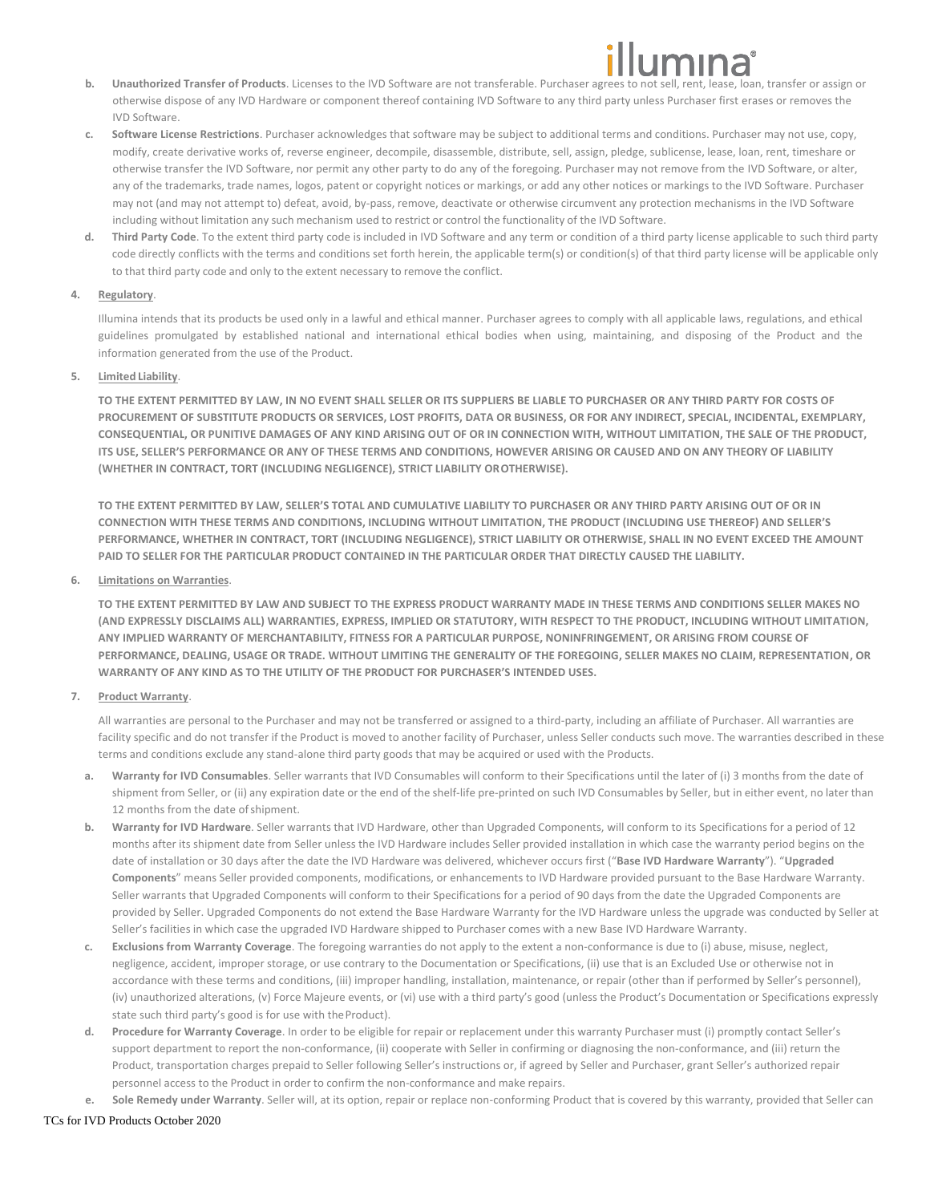- **b. Unauthorized Transfer of Products**. Licenses to the IVD Software are not transferable. Purchaser agrees to not sell, rent, lease, loan, transfer or assign or otherwise dispose of any IVD Hardware or component thereof containing IVD Software to any third party unless Purchaser first erases or removes the IVD Software.
- **c. Software License Restrictions**. Purchaser acknowledges that software may be subject to additional terms and conditions. Purchaser may not use, copy, modify, create derivative works of, reverse engineer, decompile, disassemble, distribute, sell, assign, pledge, sublicense, lease, loan, rent, timeshare or otherwise transfer the IVD Software, nor permit any other party to do any of the foregoing. Purchaser may not remove from the IVD Software, or alter, any of the trademarks, trade names, logos, patent or copyright notices or markings, or add any other notices or markings to the IVD Software. Purchaser may not (and may not attempt to) defeat, avoid, by-pass, remove, deactivate or otherwise circumvent any protection mechanisms in the IVD Software including without limitation any such mechanism used to restrict or control the functionality of the IVD Software.
- **d. Third Party Code**. To the extent third party code is included in IVD Software and any term or condition of a third party license applicable to such third party code directly conflicts with the terms and conditions set forth herein, the applicable term(s) or condition(s) of that third party license will be applicable only to that third party code and only to the extent necessary to remove the conflict.

# **4. Regulatory**.

Illumina intends that its products be used only in a lawful and ethical manner. Purchaser agrees to comply with all applicable laws, regulations, and ethical guidelines promulgated by established national and international ethical bodies when using, maintaining, and disposing of the Product and the information generated from the use of the Product.

# **5. Limited Liability**.

**TO THE EXTENT PERMITTED BY LAW, IN NO EVENT SHALL SELLER OR ITS SUPPLIERS BE LIABLE TO PURCHASER OR ANY THIRD PARTY FOR COSTS OF PROCUREMENT OF SUBSTITUTE PRODUCTS OR SERVICES, LOST PROFITS, DATA OR BUSINESS, OR FOR ANY INDIRECT, SPECIAL, INCIDENTAL, EXEMPLARY, CONSEQUENTIAL, OR PUNITIVE DAMAGES OF ANY KIND ARISING OUT OF OR IN CONNECTION WITH, WITHOUT LIMITATION, THE SALE OF THE PRODUCT, ITS USE, SELLER'S PERFORMANCE OR ANY OF THESE TERMS AND CONDITIONS, HOWEVER ARISING OR CAUSED AND ON ANY THEORY OF LIABILITY (WHETHER IN CONTRACT, TORT (INCLUDING NEGLIGENCE), STRICT LIABILITY OROTHERWISE).**

**TO THE EXTENT PERMITTED BY LAW, SELLER'S TOTAL AND CUMULATIVE LIABILITY TO PURCHASER OR ANY THIRD PARTY ARISING OUT OF OR IN CONNECTION WITH THESE TERMS AND CONDITIONS, INCLUDING WITHOUT LIMITATION, THE PRODUCT (INCLUDING USE THEREOF) AND SELLER'S PERFORMANCE, WHETHER IN CONTRACT, TORT (INCLUDING NEGLIGENCE), STRICT LIABILITY OR OTHERWISE, SHALL IN NO EVENT EXCEED THE AMOUNT PAID TO SELLER FOR THE PARTICULAR PRODUCT CONTAINED IN THE PARTICULAR ORDER THAT DIRECTLY CAUSED THE LIABILITY.**

## **6. Limitations on Warranties**.

**TO THE EXTENT PERMITTED BY LAW AND SUBJECT TO THE EXPRESS PRODUCT WARRANTY MADE IN THESE TERMS AND CONDITIONS SELLER MAKES NO (AND EXPRESSLY DISCLAIMS ALL) WARRANTIES, EXPRESS, IMPLIED OR STATUTORY, WITH RESPECT TO THE PRODUCT, INCLUDING WITHOUT LIMITATION, ANY IMPLIED WARRANTY OF MERCHANTABILITY, FITNESS FOR A PARTICULAR PURPOSE, NONINFRINGEMENT, OR ARISING FROM COURSE OF PERFORMANCE, DEALING, USAGE OR TRADE. WITHOUT LIMITING THE GENERALITY OF THE FOREGOING, SELLER MAKES NO CLAIM, REPRESENTATION, OR WARRANTY OF ANY KIND AS TO THE UTILITY OF THE PRODUCT FOR PURCHASER'S INTENDED USES.**

# **7. Product Warranty**.

All warranties are personal to the Purchaser and may not be transferred or assigned to a third-party, including an affiliate of Purchaser. All warranties are facility specific and do not transfer if the Product is moved to another facility of Purchaser, unless Seller conducts such move. The warranties described in these terms and conditions exclude any stand-alone third party goods that may be acquired or used with the Products.

- **a. Warranty for IVD Consumables**. Seller warrants that IVD Consumables will conform to their Specifications until the later of (i) 3 months from the date of shipment from Seller, or (ii) any expiration date or the end of the shelf-life pre-printed on such IVD Consumables by Seller, but in either event, no later than 12 months from the date of shipment.
- **b. Warranty for IVD Hardware**. Seller warrants that IVD Hardware, other than Upgraded Components, will conform to its Specifications for a period of 12 months after its shipment date from Seller unless the IVD Hardware includes Seller provided installation in which case the warranty period begins on the date of installation or 30 days after the date the IVD Hardware was delivered, whichever occurs first ("**Base IVD Hardware Warranty**"). "**Upgraded Components**" means Seller provided components, modifications, or enhancements to IVD Hardware provided pursuant to the Base Hardware Warranty. Seller warrants that Upgraded Components will conform to their Specifications for a period of 90 days from the date the Upgraded Components are provided by Seller. Upgraded Components do not extend the Base Hardware Warranty for the IVD Hardware unless the upgrade was conducted by Seller at Seller's facilities in which case the upgraded IVD Hardware shipped to Purchaser comes with a new Base IVD Hardware Warranty.
- **c. Exclusions from Warranty Coverage**. The foregoing warranties do not apply to the extent a non-conformance is due to (i) abuse, misuse, neglect, negligence, accident, improper storage, or use contrary to the Documentation or Specifications, (ii) use that is an Excluded Use or otherwise not in accordance with these terms and conditions, (iii) improper handling, installation, maintenance, or repair (other than if performed by Seller's personnel), (iv) unauthorized alterations, (v) Force Majeure events, or (vi) use with a third party's good (unless the Product's Documentation or Specifications expressly state such third party's good is for use with theProduct).
- **d. Procedure for Warranty Coverage**. In order to be eligible for repair or replacement under this warranty Purchaser must (i) promptly contact Seller's support department to report the non-conformance, (ii) cooperate with Seller in confirming or diagnosing the non-conformance, and (iii) return the Product, transportation charges prepaid to Seller following Seller's instructions or, if agreed by Seller and Purchaser, grant Seller's authorized repair personnel access to the Product in order to confirm the non-conformance and make repairs.

**e. Sole Remedy under Warranty**. Seller will, at its option, repair or replace non-conforming Product that is covered by this warranty, provided that Seller can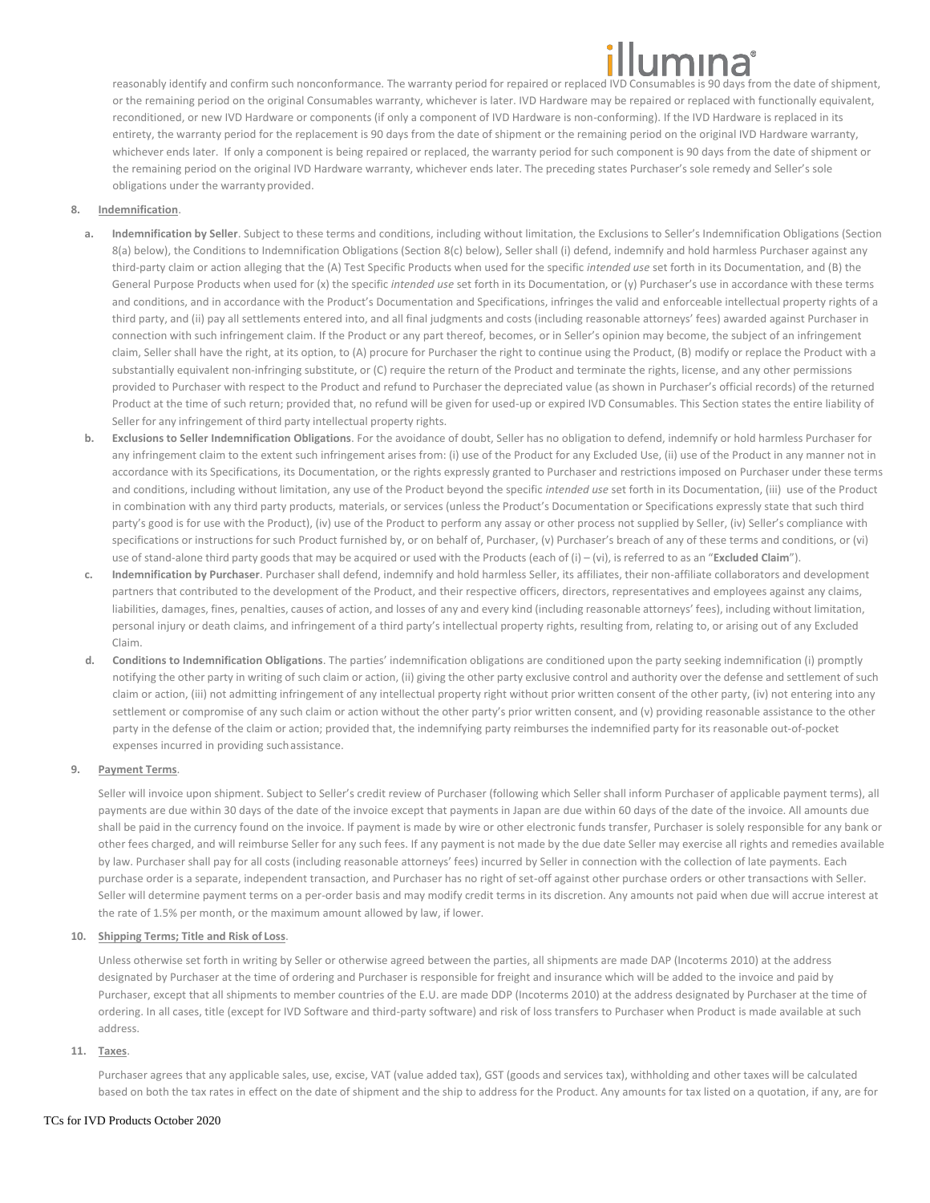reasonably identify and confirm such nonconformance. The warranty period for repaired or replaced IVD Consumables is 90 days from the date of shipment, or the remaining period on the original Consumables warranty, whichever is later. IVD Hardware may be repaired or replaced with functionally equivalent, reconditioned, or new IVD Hardware or components (if only a component of IVD Hardware is non-conforming). If the IVD Hardware is replaced in its entirety, the warranty period for the replacement is 90 days from the date of shipment or the remaining period on the original IVD Hardware warranty, whichever ends later. If only a component is being repaired or replaced, the warranty period for such component is 90 days from the date of shipment or the remaining period on the original IVD Hardware warranty, whichever ends later. The preceding states Purchaser's sole remedy and Seller's sole obligations under the warranty provided.

# <span id="page-2-0"></span>**8. Indemnification**.

- **a. Indemnification by Seller**. Subject to these terms and conditions, including without limitation, the Exclusions to Seller's Indemnification Obligations (Section [8](#page-2-0)[\(a\)](#page-2-1) below), the Conditions to Indemnification Obligations (Sectio[n 8\(](#page-2-0)[c\)](#page-2-2) below), Seller shall (i) defend, indemnify and hold harmless Purchaser against any third-party claim or action alleging that the (A) Test Specific Products when used for the specific *intended use* set forth in its Documentation, and (B) the General Purpose Products when used for (x) the specific *intended use* set forth in its Documentation, or (y) Purchaser's use in accordance with these terms and conditions, and in accordance with the Product's Documentation and Specifications, infringes the valid and enforceable intellectual property rights of a third party, and (ii) pay all settlements entered into, and all final judgments and costs (including reasonable attorneys' fees) awarded against Purchaser in connection with such infringement claim. If the Product or any part thereof, becomes, or in Seller's opinion may become, the subject of an infringement claim, Seller shall have the right, at its option, to (A) procure for Purchaser the right to continue using the Product, (B) modify or replace the Product with a substantially equivalent non-infringing substitute, or (C) require the return of the Product and terminate the rights, license, and any other permissions provided to Purchaser with respect to the Product and refund to Purchaser the depreciated value (as shown in Purchaser's official records) of the returned Product at the time of such return; provided that, no refund will be given for used-up or expired IVD Consumables. This Section states the entire liability of Seller for any infringement of third party intellectual property rights.
- <span id="page-2-1"></span>**b. Exclusions to Seller Indemnification Obligations**. For the avoidance of doubt, Seller has no obligation to defend, indemnify or hold harmless Purchaser for any infringement claim to the extent such infringement arises from: (i) use of the Product for any Excluded Use, (ii) use of the Product in any manner not in accordance with its Specifications, its Documentation, or the rights expressly granted to Purchaser and restrictions imposed on Purchaser under these terms and conditions, including without limitation, any use of the Product beyond the specific *intended use* set forth in its Documentation, (iii) use of the Product in combination with any third party products, materials, or services (unless the Product's Documentation or Specifications expressly state that such third party's good is for use with the Product), (iv) use of the Product to perform any assay or other process not supplied by Seller, (iv) Seller's compliance with specifications or instructions for such Product furnished by, or on behalf of, Purchaser, (v) Purchaser's breach of any of these terms and conditions, or (vi) use of stand-alone third party goods that may be acquired or used with the Products (each of (i) – (vi), is referred to as an "**Excluded Claim**").
- **c. Indemnification by Purchaser**. Purchaser shall defend, indemnify and hold harmless Seller, its affiliates, their non-affiliate collaborators and development partners that contributed to the development of the Product, and their respective officers, directors, representatives and employees against any claims, liabilities, damages, fines, penalties, causes of action, and losses of any and every kind (including reasonable attorneys' fees), including without limitation, personal injury or death claims, and infringement of a third party's intellectual property rights, resulting from, relating to, or arising out of any Excluded Claim.
- <span id="page-2-2"></span>**d. Conditions to Indemnification Obligations**. The parties' indemnification obligations are conditioned upon the party seeking indemnification (i) promptly notifying the other party in writing of such claim or action, (ii) giving the other party exclusive control and authority over the defense and settlement of such claim or action, (iii) not admitting infringement of any intellectual property right without prior written consent of the other party, (iv) not entering into any settlement or compromise of any such claim or action without the other party's prior written consent, and (v) providing reasonable assistance to the other party in the defense of the claim or action; provided that, the indemnifying party reimburses the indemnified party for its reasonable out-of-pocket expenses incurred in providing suchassistance.

# **9. Payment Terms**.

Seller will invoice upon shipment. Subject to Seller's credit review of Purchaser (following which Seller shall inform Purchaser of applicable payment terms), all payments are due within 30 days of the date of the invoice except that payments in Japan are due within 60 days of the date of the invoice. All amounts due shall be paid in the currency found on the invoice. If payment is made by wire or other electronic funds transfer, Purchaser is solely responsible for any bank or other fees charged, and will reimburse Seller for any such fees. If any payment is not made by the due date Seller may exercise all rights and remedies available by law. Purchaser shall pay for all costs (including reasonable attorneys' fees) incurred by Seller in connection with the collection of late payments. Each purchase order is a separate, independent transaction, and Purchaser has no right of set-off against other purchase orders or other transactions with Seller. Seller will determine payment terms on a per-order basis and may modify credit terms in its discretion. Any amounts not paid when due will accrue interest at the rate of 1.5% per month, or the maximum amount allowed by law, if lower.

# **10. Shipping Terms; Title and Risk of Loss**.

Unless otherwise set forth in writing by Seller or otherwise agreed between the parties, all shipments are made DAP (Incoterms 2010) at the address designated by Purchaser at the time of ordering and Purchaser is responsible for freight and insurance which will be added to the invoice and paid by Purchaser, except that all shipments to member countries of the E.U. are made DDP (Incoterms 2010) at the address designated by Purchaser at the time of ordering. In all cases, title (except for IVD Software and third-party software) and risk of loss transfers to Purchaser when Product is made available at such address.

**11. Taxes**.

Purchaser agrees that any applicable sales, use, excise, VAT (value added tax), GST (goods and services tax), withholding and other taxes will be calculated based on both the tax rates in effect on the date of shipment and the ship to address for the Product. Any amounts for tax listed on a quotation, if any, are for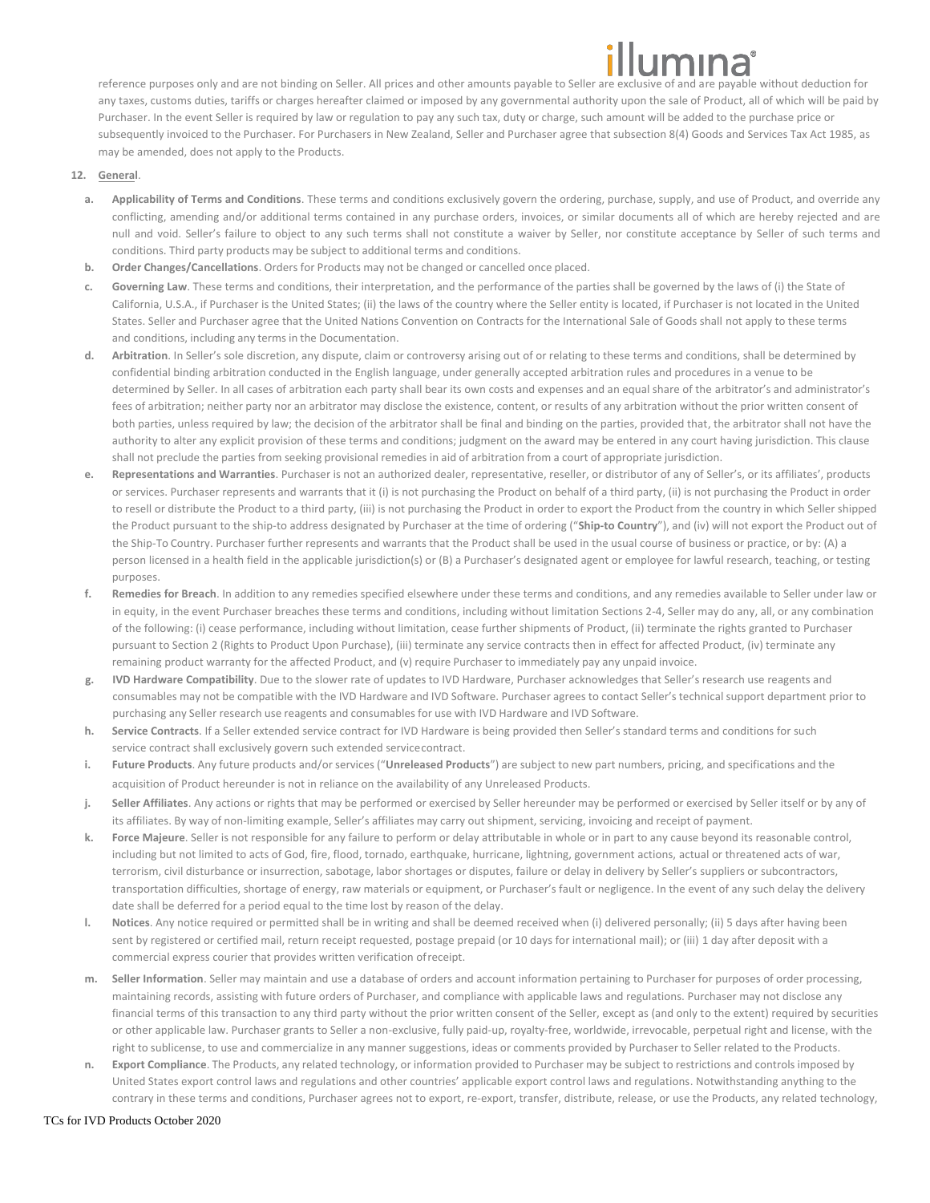reference purposes only and are not binding on Seller. All prices and other amounts payable to Seller are exclusive of and are payable without deduction for any taxes, customs duties, tariffs or charges hereafter claimed or imposed by any governmental authority upon the sale of Product, all of which will be paid by Purchaser. In the event Seller is required by law or regulation to pay any such tax, duty or charge, such amount will be added to the purchase price or subsequently invoiced to the Purchaser. For Purchasers in New Zealand, Seller and Purchaser agree that subsection 8(4) Goods and Services Tax Act 1985, as may be amended, does not apply to the Products.

- **12. General**.
	- **a. Applicability of Terms and Conditions**. These terms and conditions exclusively govern the ordering, purchase, supply, and use of Product, and override any conflicting, amending and/or additional terms contained in any purchase orders, invoices, or similar documents all of which are hereby rejected and are null and void. Seller's failure to object to any such terms shall not constitute a waiver by Seller, nor constitute acceptance by Seller of such terms and conditions. Third party products may be subject to additional terms and conditions.
	- **b. Order Changes/Cancellations**. Orders for Products may not be changed or cancelled once placed.
	- **c. Governing Law**. These terms and conditions, their interpretation, and the performance of the parties shall be governed by the laws of (i) the State of California, U.S.A., if Purchaser is the United States; (ii) the laws of the country where the Seller entity is located, if Purchaser is not located in the United States. Seller and Purchaser agree that the United Nations Convention on Contracts for the International Sale of Goods shall not apply to these terms and conditions, including any terms in the Documentation.
	- **d. Arbitration**. In Seller's sole discretion, any dispute, claim or controversy arising out of or relating to these terms and conditions, shall be determined by confidential binding arbitration conducted in the English language, under generally accepted arbitration rules and procedures in a venue to be determined by Seller. In all cases of arbitration each party shall bear its own costs and expenses and an equal share of the arbitrator's and administrator's fees of arbitration; neither party nor an arbitrator may disclose the existence, content, or results of any arbitration without the prior written consent of both parties, unless required by law; the decision of the arbitrator shall be final and binding on the parties, provided that, the arbitrator shall not have the authority to alter any explicit provision of these terms and conditions; judgment on the award may be entered in any court having jurisdiction. This clause shall not preclude the parties from seeking provisional remedies in aid of arbitration from a court of appropriate jurisdiction.
	- **e. Representations and Warranties**. Purchaser is not an authorized dealer, representative, reseller, or distributor of any of Seller's, or its affiliates', products or services. Purchaser represents and warrants that it (i) is not purchasing the Product on behalf of a third party, (ii) is not purchasing the Product in order to resell or distribute the Product to a third party, (iii) is not purchasing the Product in order to export the Product from the country in which Seller shipped the Product pursuant to the ship-to address designated by Purchaser at the time of ordering ("**Ship-to Country**"), and (iv) will not export the Product out of the Ship-To Country. Purchaser further represents and warrants that the Product shall be used in the usual course of business or practice, or by: (A) a person licensed in a health field in the applicable jurisdiction(s) or (B) a Purchaser's designated agent or employee for lawful research, teaching, or testing purposes.
	- **f. Remedies for Breach**. In addition to any remedies specified elsewhere under these terms and conditions, and any remedies available to Seller under law or in equity, in the event Purchaser breaches these terms and conditions, including without limitation Sections 2-4, Seller may do any, all, or any combination of the following: (i) cease performance, including without limitation, cease further shipments of Product, (ii) terminate the rights granted to Purchaser pursuant to Section 2 (Rights to Product Upon Purchase), (iii) terminate any service contracts then in effect for affected Product, (iv) terminate any remaining product warranty for the affected Product, and (v) require Purchaser to immediately pay any unpaid invoice.
	- **g. IVD Hardware Compatibility**. Due to the slower rate of updates to IVD Hardware, Purchaser acknowledges that Seller's research use reagents and consumables may not be compatible with the IVD Hardware and IVD Software. Purchaser agrees to contact Seller's technical support department prior to purchasing any Seller research use reagents and consumables for use with IVD Hardware and IVD Software.
	- **h. Service Contracts**. If a Seller extended service contract for IVD Hardware is being provided then Seller's standard terms and conditions for such service contract shall exclusively govern such extended servicecontract.
	- **i. Future Products**. Any future products and/or services ("**Unreleased Products**") are subject to new part numbers, pricing, and specifications and the acquisition of Product hereunder is not in reliance on the availability of any Unreleased Products.
	- **j. Seller Affiliates**. Any actions or rights that may be performed or exercised by Seller hereunder may be performed or exercised by Seller itself or by any of its affiliates. By way of non-limiting example, Seller's affiliates may carry out shipment, servicing, invoicing and receipt of payment.
	- **k. Force Majeure**. Seller is not responsible for any failure to perform or delay attributable in whole or in part to any cause beyond its reasonable control, including but not limited to acts of God, fire, flood, tornado, earthquake, hurricane, lightning, government actions, actual or threatened acts of war, terrorism, civil disturbance or insurrection, sabotage, labor shortages or disputes, failure or delay in delivery by Seller's suppliers or subcontractors, transportation difficulties, shortage of energy, raw materials or equipment, or Purchaser's fault or negligence. In the event of any such delay the delivery date shall be deferred for a period equal to the time lost by reason of the delay.
	- **l. Notices**. Any notice required or permitted shall be in writing and shall be deemed received when (i) delivered personally; (ii) 5 days after having been sent by registered or certified mail, return receipt requested, postage prepaid (or 10 days for international mail); or (iii) 1 day after deposit with a commercial express courier that provides written verification ofreceipt.
	- **m. Seller Information**. Seller may maintain and use a database of orders and account information pertaining to Purchaser for purposes of order processing, maintaining records, assisting with future orders of Purchaser, and compliance with applicable laws and regulations. Purchaser may not disclose any financial terms of this transaction to any third party without the prior written consent of the Seller, except as (and only to the extent) required by securities or other applicable law. Purchaser grants to Seller a non-exclusive, fully paid-up, royalty-free, worldwide, irrevocable, perpetual right and license, with the right to sublicense, to use and commercialize in any manner suggestions, ideas or comments provided by Purchaser to Seller related to the Products.
	- **n. Export Compliance**. The Products, any related technology, or information provided to Purchaser may be subject to restrictions and controls imposed by United States export control laws and regulations and other countries' applicable export control laws and regulations. Notwithstanding anything to the contrary in these terms and conditions, Purchaser agrees not to export, re-export, transfer, distribute, release, or use the Products, any related technology,